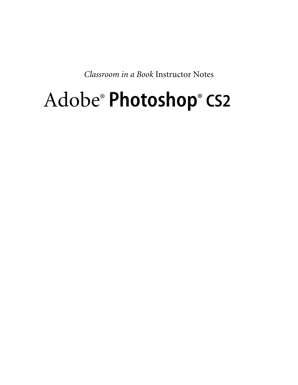*Classroom in a Book* Instructor Notes

# Adobe®  **Photoshop® CS2**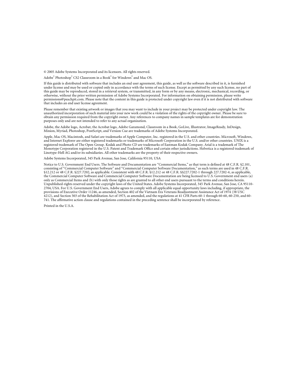© 2005 Adobe Systems Incorporated and its licensors. All rights reserved.

Adobe® Photoshop® CS2 Classroom in a Book® for Windows® and Mac OS.

If this guide is distributed with software that includes an end user agreement, this guide, as well as the software described in it, is furnished under license and may be used or copied only in accordance with the terms of such license. Except as permitted by any such license, no part of this guide may be reproduced, stored in a retrieval system, or transmitted, in any form or by any means, electronic, mechanical, recording, or otherwise, without the prior written permission of Adobe Systems Incorporated. For information on obtaining permission, please write permissions@peachpit.com. Please note that the content in this guide is protected under copyright law even if it is not distributed with software that includes an end user license agreement.

Please remember that existing artwork or images that you may want to include in your project may be protected under copyright law. The unauthorized incorporation of such material into your new work could be a violation of the rights of the copyright owner. Please be sure to obtain any permission required from the copyright owner. Any references to company names in sample templates are for demonstration purposes only and are not intended to refer to any actual organization.

Adobe, the Adobe logo, Acrobat, the Acrobat logo, Adobe Garamond, Classroom in a Book, GoLive, Illustrator, ImageReady, InDesign, Minion, Myriad, Photoshop, PostScript, and Version Cue are trademarks of Adobe Systems Incorporated.

Apple, Mac OS, Macintosh, and Safari are trademarks of Apple Computer, Inc. registered in the U.S. and other countries. Microsoft, Windows, and Internet Explorer are either registered trademarks or trademarks of Microsoft Corporation in the U.S. and/or other countries. UNIX is a registered trademark of The Open Group. Kodak and Photo CD are trademarks of Eastman Kodak Company. Arial is a trademark of The Monotype Corporation registered in the U.S. Patent and Trademark Office and certain other jurisdictions. Helvetica is a registered trademark of Linotype-Hell AG and/or its subsidiaries. All other trademarks are the property of their respective owners.

Adobe Systems Incorporated, 345 Park Avenue, San Jose, California 95110, USA

Notice to U.S. Government End Users. The Software and Documentation are "Commercial Items," as that term is defined at 48 C.F.R. §2.101, consisting of "Commercial Computer Software" and "Commercial Computer Software Documentation," as such terms are used in 48 C.F.R. §12.212 or 48 C.F.R. §227.7202, as applicable. Consistent with 48 C.F.R. §12.212 or 48 C.F.R. §§227.7202-1 through 227.7202-4, as applicable, the Commercial Computer Software and Commercial Computer Software Documentation are being licensed to U.S. Government end users (a) only as Commercial Items and (b) with only those rights as are granted to all other end users pursuant to the terms and conditions herein. Unpublished-rights reserved under the copyright laws of the United States. Adobe Systems Incorporated, 345 Park Avenue, San Jose, CA 95110- 2704, USA. For U.S. Government End Users, Adobe agrees to comply with all applicable equal opportunity laws including, if appropriate, the<br>provisions of Executive Order 11246, as amended, Section 402 of the Vietnam Era Vet 4212), and Section 503 of the Rehabilitation Act of 1973, as amended, and the regulations at 41 CFR Parts 60-1 through 60-60, 60-250, and 60- 741. The affirmative action clause and regulations contained in the preceding sentence shall be incorporated by reference.

Printed in the U.S.A.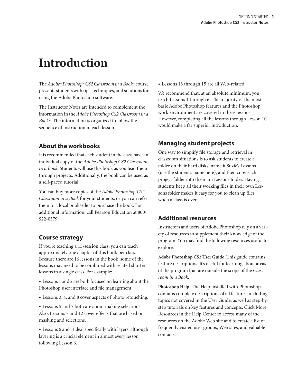# **Introduction**

The *Adobe® Photoshop® CS2 Classroom in a Book™* course presents students with tips, techniques, and solutions for using the Adobe Photoshop software.

The Instructor Notes are intended to complement the information in the *Adobe Photoshop CS2 Classroom in a Book*®. The information is organized to follow the sequence of instruction in each lesson.

#### **About the workbooks**

It is recommended that each student in the class have an individual copy of the *Adobe Photoshop CS2 Classroom in a Book*. Students will use this book as you lead them through projects. Additionally, the book can be used as a self-paced tutorial.

You can buy more copies of the *Adobe Photoshop CS2 Classroom in a Book* for your students, or you can refer them to a local bookseller to purchase the book. For additional information, call Pearson Education at 800- 922-0579.

#### **Course strategy**

If you're teaching a 15-session class, you can teach approximately one chapter of this book per class. Because there are 16 lessons in the book, some of the lessons may need to be combined with related shorter lessons in a single class. For example:

**•** Lessons 1 and 2 are both focused on learning about the Photoshop user interface and file management.

**•** Lessons 3, 4, and 8 cover aspects of photo retouching.

**•** Lessons 5 and 7 both are about making selections. Also, Lessons 7 and 12 cover effects that are based on masking and selections.

**•** Lessons 6 and11 deal specifically with layers, although layering is a crucial element in almost every lesson following Lesson 6.

**•** Lessons 13 through 15 are all Web-related.

We recommend that, at an absolute minimum, you teach Lessons 1 through 6. The majority of the most basic Adobe Photoshop features and the Photoshop work environment are covered in these lessons. However, completing all the lessons through Lesson 10 would make a far superior introduction.

#### **Managing student projects**

One way to simplify file storage and retrieval in classroom situations is to ask students to create a folder on their hard disks, name it Suzie's Lessons (use the student's name here), and then copy each project folder into the main Lessons folder. Having students keep all their working files in their own Lessons folder makes it easy for you to clean up files when a class is over.

#### **Additional resources**

Instructors and users of Adobe Photoshop rely on a variety of resources to supplement their knowledge of the program. You may find the following resources useful to explore.

**Adobe Photoshop CS2 User Guide** This guide contains feature descriptions. It's useful for learning about areas of the program that are outside the scope of the *Classroom in a Book*.

**Photoshop Help** The Help installed with Photoshop contains complete descriptions of all features, including topics not covered in the User Guide, as well as step-bystep tutorials on key features and concepts. Click More Resources in the Help Center to access many of the resources on the Adobe Web site and to create a list of frequently visited user groups, Web sites, and valuable contacts.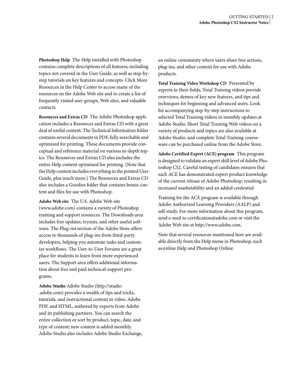**Photoshop Help** The Help installed with Photoshop contains complete descriptions of all features, including topics not covered in the User Guide, as well as step-bystep tutorials on key features and concepts. Click More Resources in the Help Center to access many of the resources on the Adobe Web site and to create a list of frequently visited user groups, Web sites, and valuable contacts.

**Resources and Extras CD** The Adobe Photoshop application includes a Resources and Extras CD with a great deal of useful content. The Technical Information folder contains several documents in PDF, fully searchable and optimized for printing. These documents provide conceptual and reference material on various in-depth topics. The Resources and Extras CD also includes the entire Help content optimized for printing. (Note that the Help content includes everything in the printed User Guide, plus much more.) The Resources and Extras CD also includes a Goodies folder that contains bonus content and files for use with Photoshop.

**Adobe Web site** The U.S. Adobe Web site (www.adobe.com) contains a variety of Photoshop training and support resources. The Downloads area includes free updates, tryouts, and other useful software. The Plug-ins section of the Adobe Store offers access to thousands of plug-ins from third-party developers, helping you automate tasks and customize workflows. The User-to-User Forums are a great place for students to learn from more experienced users. The Support area offers additional information about free and paid technical-support programs.

**Adobe Studio** Adobe Studio (http://studio .adobe.com) provides a wealth of tips and tricks, tutorials, and instructional content in video, Adobe PDF, and HTML, authored by experts from Adobe and its publishing partners. You can search the entire collection or sort by product, topic, date, and type of content; new content is added monthly. Adobe Studio also includes Adobe Studio Exchange, an online community where users share free actions, plug-ins, and other content for use with Adobe products.

**Total Training Video Workshop CD** Presented by experts in their fields, Total Training videos provide overviews, demos of key new features, and tips and techniques for beginning and advanced users. Look for accompanying step-by-step instructions to selected Total Training videos in monthly updates at Adobe Studio. Short Total Training Web videos on a variety of products and topics are also available at Adobe Studio, and complete Total Training courseware can be purchased online from the Adobe Store.

**Adobe Certified Expert (ACE) program** This program is designed to validate an expert skill level of Adobe Photoshop CS2. Careful testing of candidates ensures that each ACE has demonstrated expert product knowledge of the current release of Adobe Photoshop, resulting in increased marketability and an added credential.

Training for the ACE program is available through Adobe Authorized Learning Providers (AALP) and self-study. For more information about this program, send e-mail to certification@adobe.com or visit the Adobe Web site at http://www.adobe.com.

Note that several resources mentioned here are available directly from the Help menu in Photoshop, such as online Help and Photoshop Online.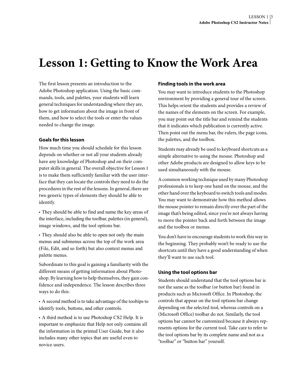# **Lesson 1: Getting to Know the Work Area**

The first lesson presents an introduction to the Adobe Photoshop application. Using the basic commands, tools, and palettes, your students will learn general techniques for understanding where they are, how to get information about the image in front of them, and how to select the tools or enter the values needed to change the image.

#### **Goals for this lesson**

How much time you should schedule for this lesson depends on whether or not all your students already have any knowledge of Photoshop and on their computer skills in general. The overall objective for Lesson 1 is to make them sufficiently familiar with the user interface that they can locate the controls they need to do the procedures in the rest of the lessons. In general, there are two generic types of elements they should be able to identify.

**•** They should be able to find and name the key areas of the interface, including the toolbar, palettes (in general), image windows, and the tool options bar.

**•** They should also be able to open not only the main menus and submenus across the top of the work area (File, Edit, and so forth) but also context menus and palette menus.

Subordinate to this goal is gaining a familiarity with the different means of getting information about Photoshop. By learning how to help themselves, they gain confidence and independence. The lesson describes three ways to do this:

**•** A second method is to take advantage of the tooltips to identify tools, buttons, and other controls.

**•** A third method is to use Photoshop CS2 Help. It is important to emphasize that Help not only contains all the information in the printed User Guide, but it also includes many other topics that are useful even to novice users.

#### **Finding tools in the work area**

You may want to introduce students to the Photoshop environment by providing a general tour of the screen. This helps orient the students and provides a review of the names of the elements on the screen. For example, you may point out the title bar and remind the students that it indicates which publication is currently active. Then point out the menu bar, the rulers, the page icons, the palettes, and the toolbox.

Students may already be used to keyboard shortcuts as a simple alternative to using the mouse. Photoshop and other Adobe products are designed to allow keys to be used simultaneously with the mouse.

A common working technique used by many Photoshop professionals is to keep one hand on the mouse, and the other hand over the keyboard to switch tools and modes. You may want to demonstrate how this method allows the mouse pointer to remain directly over the part of the image that's being edited, since you're not always having to move the pointer back and forth between the image and the toolbox or menus.

You don't have to encourage students to work this way in the beginning. They probably won't be ready to use the shortcuts until they have a good understanding of when they'll want to use each tool.

#### **Using the tool options bar**

Students should understand that the tool options bar is not the same as the toolbar (or button bar) found in products such as Microsoft Office. In Photoshop, the controls that appear on the tool options bar change depending on the selected tool, whereas controls on a (Microsoft Office) toolbar do not. Similarly, the tool options bar cannot be customized because it always represents options for the current tool. Take care to refer to the tool options bar by its complete name and not as a "toolbar" or "button bar" yourself.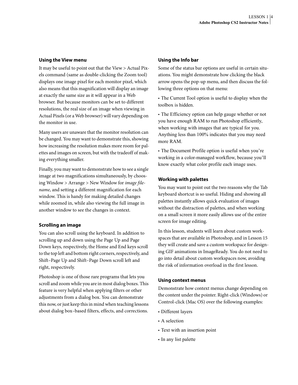#### **Using the View menu**

It may be useful to point out that the View > Actual Pixels command (same as double-clicking the Zoom tool) displays one image pixel for each monitor pixel, which also means that this magnification will display an image at exactly the same size as it will appear in a Web browser. But because monitors can be set to different resolutions, the real size of an image when viewing in Actual Pixels (or a Web browser) will vary depending on the monitor in use.

Many users are unaware that the monitor resolution can be changed. You may want to demonstrate this, showing how increasing the resolution makes more room for palettes and images on screen, but with the tradeoff of making everything smaller.

Finally, you may want to demonstrate how to see a single image at two magnifications simultaneously, by choosing Window > Arrange > New Window for *image filename*, and setting a different magnification for each window. This is handy for making detailed changes while zoomed in, while also viewing the full image in another window to see the changes in context.

#### **Scrolling an image**

You can also scroll using the keyboard. In addition to scrolling up and down using the Page Up and Page Down keys, respectively, the Home and End keys scroll to the top left and bottom right corners, respectively, and Shift–Page Up and Shift–Page Down scroll left and right, respectively.

Photoshop is one of those rare programs that lets you scroll and zoom while you are in most dialog boxes. This feature is very helpful when applying filters or other adjustments from a dialog box. You can demonstrate this now, or just keep this in mind when teaching lessons about dialog box–based filters, effects, and corrections.

#### **Using the Info bar**

Some of the status bar options are useful in certain situations. You might demonstrate how clicking the black arrow opens the pop-up menu, and then discuss the following three options on that menu:

**•** The Current Tool option is useful to display when the toolbox is hidden.

**•** The Efficiency option can help gauge whether or not you have enough RAM to run Photoshop efficiently, when working with images that are typical for you. Anything less than 100% indicates that you may need more RAM.

**•** The Document Profile option is useful when you're working in a color-managed workflow, because you'll know exactly what color profile each image uses.

#### **Working with palettes**

You may want to point out the two reasons why the Tab keyboard shortcut is so useful. Hiding and showing all palettes instantly allows quick evaluation of images without the distraction of palettes, and when working on a small screen it more easily allows use of the entire screen for image editing.

In this lesson, students will learn about custom workspaces that are available in Photoshop, and in Lesson 15 they will create and save a custom workspace for designing GIF animations in ImageReady. You do not need to go into detail about custom workspaces now, avoiding the risk of information overload in the first lesson.

#### **Using context menus**

Demonstrate how context menus change depending on the content under the pointer. Right-click (Windows) or Control-click (Mac OS) over the following examples:

- **•** Different layers
- **•** A selection
- **•** Text with an insertion point
- **•** In any list palette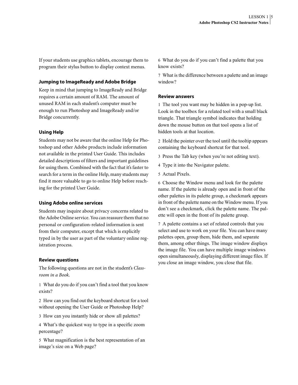If your students use graphics tablets, encourage them to program their stylus button to display context menus.

#### **Jumping to ImageReady and Adobe Bridge**

Keep in mind that jumping to ImageReady and Bridge requires a certain amount of RAM. The amount of unused RAM in each student's computer must be enough to run Photoshop and ImageReady and/or Bridge concurrently.

#### **Using Help**

Students may not be aware that the online Help for Photoshop and other Adobe products include information not available in the printed User Guide. This includes detailed descriptions of filters and important guidelines for using them. Combined with the fact that it's faster to search for a term in the online Help, many students may find it more valuable to go to online Help before reaching for the printed User Guide.

#### **Using Adobe online services**

Students may inquire about privacy concerns related to the Adobe Online service. You can reassure them that no personal or configuration-related information is sent from their computer, except that which is explicitly typed in by the user as part of the voluntary online registration process.

#### **Review questions**

The following questions are not in the student's *Classroom in a Book*.

1 What do you do if you can't find a tool that you know exists?

2 How can you find out the keyboard shortcut for a tool without opening the User Guide or Photoshop Help?

3 How can you instantly hide or show all palettes?

4 What's the quickest way to type in a specific zoom percentage?

5 What magnification is the best representation of an image's size on a Web page?

6 What do you do if you can't find a palette that you know exists?

7 What is the difference between a palette and an image window?

#### **Review answers**

1 The tool you want may be hidden in a pop-up list. Look in the toolbox for a related tool with a small black triangle. That triangle symbol indicates that holding down the mouse button on that tool opens a list of hidden tools at that location.

2 Hold the pointer over the tool until the tooltip appears containing the keyboard shortcut for that tool.

3 Press the Tab key (when you're not editing text).

4 Type it into the Navigator palette.

5 Actual Pixels.

6 Choose the Window menu and look for the palette name. If the palette is already open and in front of the other palettes in its palette group, a checkmark appears in front of the palette name on the Window menu. If you don't see a checkmark, click the palette name. The palette will open in the front of its palette group.

7 A palette contains a set of related controls that you select and use to work on your file. You can have many palettes open, group them, hide them, and separate them, among other things. The image window displays the image file. You can have multiple image windows open simultaneously, displaying different image files. If you close an image window, you close that file.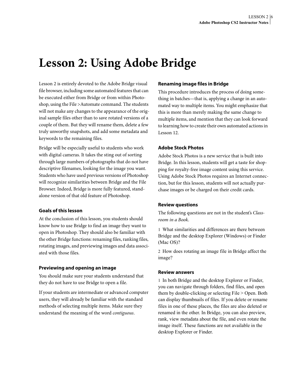# **Lesson 2: Using Adobe Bridge**

Lesson 2 is entirely devoted to the Adobe Bridge visual file browser, including some automated features that can be executed either from Bridge or from within Photoshop, using the File >Automate command. The students will not make any changes to the appearance of the original sample files other than to save rotated versions of a couple of them. But they will rename them, delete a few truly unworthy snapshots, and add some metadata and keywords to the remaining files.

Bridge will be especially useful to students who work with digital cameras. It takes the sting out of sorting through large numbers of photographs that do not have descriptive filenames, looking for the image you want. Students who have used previous versions of Photoshop will recognize similarities between Bridge and the File Browser. Indeed, Bridge is more fully featured, standalone version of that old feature of Photoshop.

#### **Goals of this lesson**

At the conclusion of this lesson, you students should know how to use Bridge to find an image they want to open in Photoshop. They should also be familiar with the other Bridge functions: renaming files, ranking files, rotating images, and previewing images and data associated with those files.

#### **Previewing and opening an image**

You should make sure your students understand that they do not have to use Bridge to open a file.

If your students are intermediate or advanced computer users, they will already be familiar with the standard methods of selecting multiple items. Make sure they understand the meaning of the word *contiguous*.

#### **Renaming image files in Bridge**

This procedure introduces the process of doing something in batches—that is, applying a change in an automated way to multiple items. You might emphasize that this is more than merely making the same change to multiple items, and mention that they can look forward to learning how to create their own automated actions in Lesson 12.

#### **Adobe Stock Photos**

Adobe Stock Photos is a new service that is built into Bridge. In this lesson, students will get a taste for shopping for royalty-free image content using this service. Using Adobe Stock Photos requires an Internet connection, but for this lesson, students will not actually purchase images or be charged on their credit cards.

#### **Review questions**

The following questions are not in the student's *Classroom in a Book*.

1 What similarities and differences are there between Bridge and the desktop Explorer (Windows) or Finder (Mac OS)?

2 How does rotating an image file in Bridge affect the image?

#### **Review answers**

1 In both Bridge and the desktop Explorer or Finder, you can navigate through folders, find files, and open them by double-clicking or selecting File > Open. Both can display thumbnails of files. If you delete or rename files in one of these places, the files are also deleted or renamed in the other. In Bridge, you can also preview, rank, view metadata about the file, and even rotate the image itself. These functions are not available in the desktop Explorer or Finder.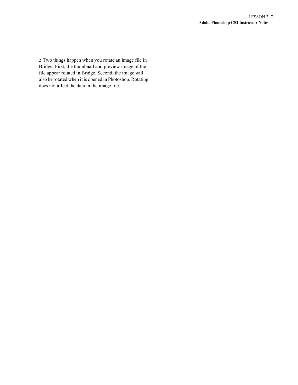2 Two things happen when you rotate an image file in Bridge. First, the thumbnail and preview image of the file appear rotated in Bridge. Second, the image will also be rotated when it is opened in Photoshop. Rotating does not affect the data in the image file.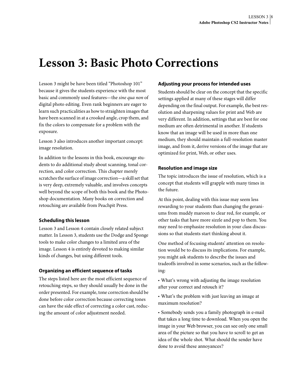### **Lesson 3: Basic Photo Corrections**

Lesson 3 might be have been titled "Photoshop 101" because it gives the students experience with the most basic and commonly used features—the *sine qua non* of digital photo editing. Even rank beginners are eager to learn such practicalities as how to straighten images that have been scanned in at a crooked angle, crop them, and fix the colors to compensate for a problem with the exposure.

Lesson 3 also introduces another important concept: image resolution.

In addition to the lessons in this book, encourage students to do additional study about scanning, tonal correction, and color correction. This chapter merely scratches the surface of image correction—a skill set that is very deep, extremely valuable, and involves concepts well beyond the scope of both this book and the Photoshop documentation. Many books on correction and retouching are available from Peachpit Press.

#### **Scheduling this lesson**

Lesson 3 and Lesson 4 contain closely related subject matter. In Lesson 3, students use the Dodge and Sponge tools to make color changes to a limited area of the image. Lesson 4 is entirely devoted to making similar kinds of changes, but using different tools.

#### **Organizing an efficient sequence of tasks**

The steps listed here are the most efficient sequence of retouching steps, so they should usually be done in the order presented. For example, tone correction should be done before color correction because correcting tones can have the side effect of correcting a color cast, reducing the amount of color adjustment needed.

#### **Adjusting your process for intended uses**

Students should be clear on the concept that the specific settings applied at many of these stages will differ depending on the final output. For example, the best resolution and sharpening values for print and Web are very different. In addition, settings that are best for one medium are often detrimental in another. If students know that an image will be used in more than one medium, they should maintain a full-resolution master image, and from it, derive versions of the image that are optimized for print, Web, or other uses.

#### **Resolution and image size**

The topic introduces the issue of resolution, which is a concept that students will grapple with many times in the future.

At this point, dealing with this issue may seem less rewarding to your students than changing the geraniums from muddy maroon to clear red, for example, or other tasks that have more sizzle and pop to them. You may need to emphasize resolution in your class discussions so that students start thinking about it.

One method of focusing students' attention on resolution would be to discuss its implications. For example, you might ask students to describe the issues and tradeoffs involved in some scenarios, such as the following:

- **•** What's wrong with adjusting the image resolution after your correct and retouch it?
- **•** What's the problem with just leaving an image at maximum resolution?
- **•** Somebody sends you a family photograph in e-mail that takes a long time to download. When you open the image in your Web browser, you can see only one small area of the picture so that you have to scroll to get an idea of the whole shot. What should the sender have done to avoid these annoyances?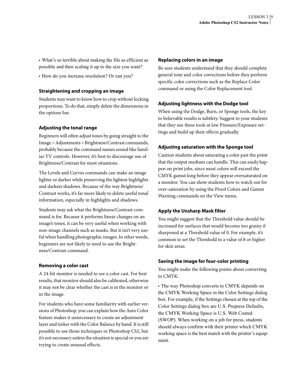**•** What's so terrible about making the file as efficient as possible and then scaling it up to the size you want?

**•** How do you increase resolution? Or can you?

#### **Straightening and cropping an image**

Students may want to know how to crop without locking proportions. To do that, simply delete the dimensions in the options bar.

#### **Adjusting the tonal range**

Beginners will often adjust tones by going straight to the Image > Adjustments > Brightness/Contrast commands, probably because the command names sound like familiar TV controls. However, it's best to discourage use of Brightness/Contrast for most situations.

The Levels and Curves commands can make an image lighter or darker while preserving the lightest highlights and darkest shadows. Because of the way Brightness/ Contrast works, it's far more likely to delete useful tonal information, especially in highlights and shadows.

Students may ask what the Brightness/Contrast command is for. Because it performs linear changes on an image's tones, it can be very useful when working with non-image channels such as masks. But it isn't very useful when handling photographic images. In other words, beginners are not likely to need to use the Brightness/Contrast command.

#### **Removing a color cast**

A 24-bit monitor is needed to see a color cast. For best results, that monitor should also be calibrated, otherwise it may not be clear whether the cast is in the monitor or in the image.

For students who have some familiarity with earlier versions of Photoshop, you can explain how the Auto Color feature makes it unnecessary to create an adjustment layer and tinker with the Color Balance by hand. It is still possible to use those techniques in Photoshop CS2, but it's not necessary unless the situation is special or you are trying to create unusual effects.

#### **Replacing colors in an image**

Be sure students understand that they should complete general tone and color corrections before they perform specific color corrections such as the Replace Color command or using the Color Replacement tool.

#### **Adjusting lightness with the Dodge tool**

When using the Dodge, Burn, or Sponge tools, the key to believable results is subtlety. Suggest to your students that they use these tools at low Pressure/Exposure settings and build up their effects gradually.

#### **Adjusting saturation with the Sponge tool**

Caution students about saturating a color past the point that the output medium can handle. This can easily happen on print jobs, since most colors will exceed the CMYK gamut long before they appear oversaturated on a monitor. You can show students how to watch out for over-saturation by using the Proof Colors and Gamut Warning commands on the View menu.

#### **Apply the Unsharp Mask filter**

You might suggest that the Threshold value should be increased for surfaces that would become too grainy if sharpened at a Threshold value of 0. For example, it's common to set the Threshold to a value of 8 or higher for skin areas.

#### **Saving the image for four-color printing**

You might make the following points about converting to CMYK:

**•** The way Photoshop converts to CMYK depends on the CMYK Working Space in the Color Settings dialog box. For example, if the Settings chosen at the top of the Color Settings dialog box are U.S. Prepress Defaults, the CMYK Working Space is U.S. Web Coated (SWOP). When working on a job for press, students should always confirm with their printer which CMYK working space is the best match with the printer's equipment.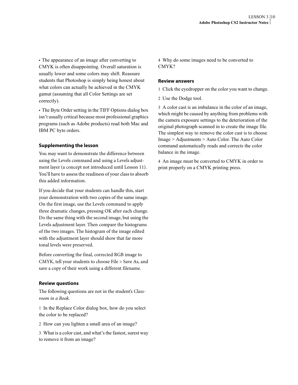**•** The appearance of an image after converting to CMYK is often disappointing. Overall saturation is usually lower and some colors may shift. Reassure students that Photoshop is simply being honest about what colors can actually be achieved in the CMYK gamut (assuming that all Color Settings are set correctly).

**•** The Byte Order setting in the TIFF Options dialog box isn't usually critical because most professional graphics programs (such as Adobe products) read both Mac and IBM PC byte orders.

#### **Supplementing the lesson**

You may want to demonstrate the difference between using the Levels command and using a Levels adjustment layer (a concept not introduced until Lesson 11). You'll have to assess the readiness of your class to absorb this added information.

If you decide that your students can handle this, start your demonstration with two copies of the same image. On the first image, use the Levels command to apply three dramatic changes, pressing OK after each change. Do the same thing with the second image, but using the Levels adjustment layer. Then compare the histograms of the two images. The histogram of the image edited with the adjustment layer should show that far more tonal levels were preserved.

Before converting the final, corrected RGB image to CMYK, tell your students to choose File > Save As, and save a copy of their work using a different filename.

#### **Review questions**

The following questions are not in the student's *Classroom in a Book*.

1 In the Replace Color dialog box, how do you select the color to be replaced?

2 How can you lighten a small area of an image?

3 What is a color cast, and what's the fastest, surest way to remove it from an image?

4 Why do some images need to be converted to CMYK?

#### **Review answers**

1 Click the eyedropper on the color you want to change.

2 Use the Dodge tool.

3 A color cast is an imbalance in the color of an image, which might be caused by anything from problems with the camera exposure settings to the deterioration of the original photograph scanned in to create the image file. The simplest way to remove the color cast is to choose Image > Adjustments > Auto Color. The Auto Color command automatically reads and corrects the color balance in the image.

4 An image must be converted to CMYK in order to print properly on a CMYK printing press.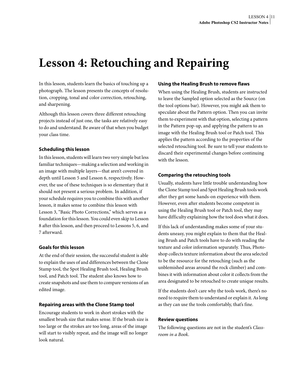# **Lesson 4: Retouching and Repairing**

In this lesson, students learn the basics of touching up a photograph. The lesson presents the concepts of resolution, cropping, tonal and color correction, retouching, and sharpening.

Although this lesson covers three different retouching projects instead of just one, the tasks are relatively easy to do and understand. Be aware of that when you budget your class time.

#### **Scheduling this lesson**

In this lesson, students will learn two very simple but less familiar techniques—making a selection and working in an image with multiple layers—that aren't covered in depth until Lesson 5 and Lesson 6, respectively. However, the use of these techniques is so elementary that it should not present a serious problem. In addition, if your schedule requires you to combine this with another lesson, it makes sense to combine this lesson with Lesson 3, "Basic Photo Corrections," which serves as a foundation for this lesson. You could even skip to Lesson 8 after this lesson, and then proceed to Lessons 5, 6, and 7 afterward.

#### **Goals for this lesson**

At the end of their session, the successful student is able to explain the uses of and differences between the Clone Stamp tool, the Spot Healing Brush tool, Healing Brush tool, and Patch tool. The student also knows how to create snapshots and use them to compare versions of an edited image.

#### **Repairing areas with the Clone Stamp tool**

Encourage students to work in short strokes with the smallest brush size that makes sense. If the brush size is too large or the strokes are too long, areas of the image will start to visibly repeat, and the image will no longer look natural.

#### **Using the Healing Brush to remove flaws**

When using the Healing Brush, students are instructed to leave the Sampled option selected as the Source (on the tool options bar). However, you might ask them to speculate about the Pattern option. Then you can invite them to experiment with that option, selecting a pattern in the Pattern pop-up, and applying the pattern to an image with the Healing Brush tool or Patch tool. This applies the pattern according to the properties of the selected retouching tool. Be sure to tell your students to discard their experimental changes before continuing with the lesson.

#### **Comparing the retouching tools**

Usually, students have little trouble understanding how the Clone Stamp tool and Spot Healing Brush tools work after they get some hands-on experience with them. However, even after students become competent in using the Healing Brush tool or Patch tool, they may have difficulty explaining how the tool does what it does.

If this lack of understanding makes some of your students uneasy, you might explain to them that the Healing Brush and Patch tools have to do with reading the texture and color information separately. Thus, Photoshop collects texture information about the area selected to be the resource for the retouching (such as the unblemished areas around the rock climber) and combines it with information about color it collects from the area designated to be retouched to create unique results.

If the students don't care why the tools work, there's no need to require them to understand or explain it. As long as they can use the tools comfortably, that's fine.

#### **Review questions**

The following questions are not in the student's *Classroom in a Book*.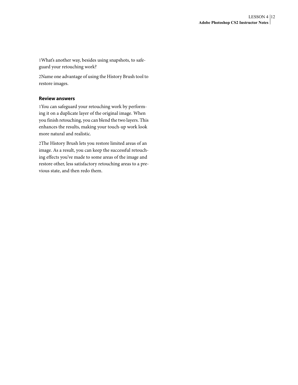1What's another way, besides using snapshots, to safeguard your retouching work?

2Name one advantage of using the History Brush tool to restore images.

#### **Review answers**

1You can safeguard your retouching work by performing it on a duplicate layer of the original image. When you finish retouching, you can blend the two layers. This enhances the results, making your touch-up work look more natural and realistic.

2The History Brush lets you restore limited areas of an image. As a result, you can keep the successful retouching effects you've made to some areas of the image and restore other, less satisfactory retouching areas to a previous state, and then redo them.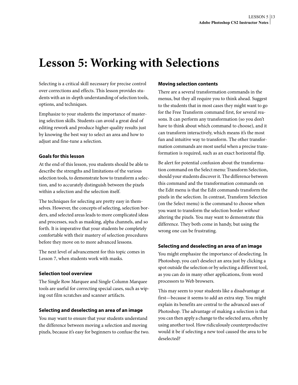# **Lesson 5: Working with Selections**

Selecting is a critical skill necessary for precise control over corrections and effects. This lesson provides students with an in-depth understanding of selection tools, options, and techniques.

Emphasize to your students the importance of mastering selection skills. Students can avoid a great deal of editing rework and produce higher-quality results just by knowing the best way to select an area and how to adjust and fine-tune a selection.

#### **Goals for this lesson**

At the end of this lesson, you students should be able to describe the strengths and limitations of the various selection tools, to demonstrate how to transform a selection, and to accurately distinguish between the pixels within a selection and the selection itself.

The techniques for selecting are pretty easy in themselves. However, the concepts of selecting, selection borders, and selected areas leads to more complicated ideas and processes, such as masking, alpha channels, and so forth. It is imperative that your students be completely comfortable with their mastery of selection procedures before they move on to more advanced lessons.

The next level of advancement for this topic comes in Lesson 7, when students work with masks.

#### **Selection tool overview**

The Single Row Marquee and Single Column Marquee tools are useful for correcting special cases, such as wiping out film scratches and scanner artifacts.

#### **Selecting and deselecting an area of an image**

You may want to ensure that your students understand the difference between moving a selection and moving pixels, because it's easy for beginners to confuse the two.

#### **Moving selection contents**

There are a several transformation commands in the menus, but they all require you to think ahead. Suggest to the students that in most cases they might want to go for the Free Transform command first, for several reasons. It can perform any transformation (so you don't have to think about which command to choose), and it can transform interactively, which means it's the most fun and intuitive way to transform. The other transformation commands are most useful when a precise transformation is required, such as an exact horizontal flip.

Be alert for potential confusion about the transformation command on the Select menu: Transform Selection, should your students discover it. The difference between this command and the transformation commands on the Edit menu is that the Edit commands transform the pixels in the selection. In contrast, Transform Selection (on the Select menu) is the command to choose when you want to transform the selection border *without* altering the pixels. You may want to demonstrate this difference. They both come in handy, but using the wrong one can be frustrating.

#### **Selecting and deselecting an area of an image**

You might emphasize the importance of deselecting. In Photoshop, you can't deselect an area just by clicking a spot outside the selection or by selecting a different tool, as you can do in many other applications, from word processors to Web browsers.

This may seem to your students like a disadvantage at first—because it seems to add an extra step. You might explain its benefits are central to the advanced uses of Photoshop. The advantage of making a selection is that you can then apply a change to the selected area, often by using another tool. How ridiculously counterproductive would it be if selecting a new tool caused the area to be deselected?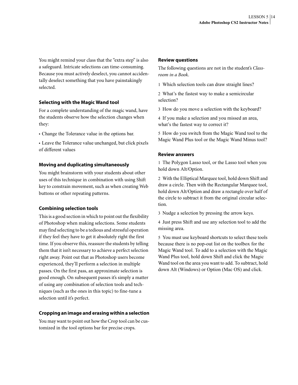You might remind your class that the "extra step" is also a safeguard. Intricate selections can time-consuming. Because you must actively deselect, you cannot accidentally deselect something that you have painstakingly selected.

#### **Selecting with the Magic Wand tool**

For a complete understanding of the magic wand, have the students observe how the selection changes when they:

- **•** Change the Tolerance value in the options bar.
- **•** Leave the Tolerance value unchanged, but click pixels of different values

#### **Moving and duplicating simultaneously**

You might brainstorm with your students about other uses of this technique in combination with using Shift key to constrain movement, such as when creating Web buttons or other repeating patterns.

#### **Combining selection tools**

This is a good section in which to point out the flexibility of Photoshop when making selections. Some students may find selecting to be a tedious and stressful operation if they feel they have to get it absolutely right the first time. If you observe this, reassure the students by telling them that it isn't necessary to achieve a perfect selection right away. Point out that as Photoshop users become experienced, they'll perform a selection in multiple passes. On the first pass, an approximate selection is good enough. On subsequent passes it's simply a matter of using any combination of selection tools and techniques (such as the ones in this topic) to fine-tune a selection until it's perfect.

#### **Cropping an image and erasing within a selection**

You may want to point out how the Crop tool can be customized in the tool options bar for precise crops.

#### **Review questions**

The following questions are not in the student's *Classroom in a Book*.

- 1 Which selection tools can draw straight lines?
- 2 What's the fastest way to make a semicircular selection?
- 3 How do you move a selection with the keyboard?
- 4 If you make a selection and you missed an area, what's the fastest way to correct it?
- 5 How do you switch from the Magic Wand tool to the Magic Wand Plus tool or the Magic Wand Minus tool?

#### **Review answers**

1 The Polygon Lasso tool, or the Lasso tool when you hold down Alt/Option.

2 With the Elliptical Marquee tool, hold down Shift and draw a circle. Then with the Rectangular Marquee tool, hold down Alt/Option and draw a rectangle over half of the circle to subtract it from the original circular selection.

3 Nudge a selection by pressing the arrow keys.

4 Just press Shift and use any selection tool to add the missing area.

5 You must use keyboard shortcuts to select these tools because there is no pop-out list on the toolbox for the Magic Wand tool. To add to a selection with the Magic Wand Plus tool, hold down Shift and click the Magic Wand tool on the area you want to add. To subtract, hold down Alt (Windows) or Option (Mac OS) and click.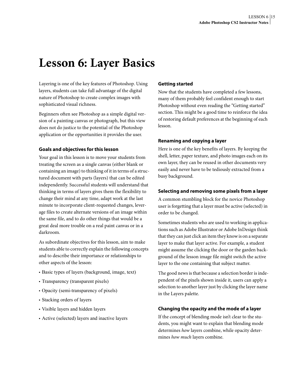# **Lesson 6: Layer Basics**

Layering is one of the key features of Photoshop. Using layers, students can take full advantage of the digital nature of Photoshop to create complex images with sophisticated visual richness.

Beginners often see Photoshop as a simple digital version of a painting canvas or photograph, but this view does not do justice to the potential of the Photoshop application or the opportunities it provides the user.

#### **Goals and objectives for this lesson**

Your goal in this lesson is to move your students from treating the screen as a single canvas (either blank or containing an image) to thinking of it in terms of a structured document with parts (layers) that can be edited independently. Successful students will understand that thinking in terms of layers gives them the flexibility to change their mind at any time, adapt work at the last minute to incorporate client-requested changes, leverage files to create alternate versions of an image within the same file, and to do other things that would be a great deal more trouble on a real paint canvas or in a darkroom.

As subordinate objectives for this lesson, aim to make students able to correctly explain the following concepts and to describe their importance or relationships to other aspects of the lesson:

- **•** Basic types of layers (background, image, text)
- **•** Transparency (transparent pixels)
- **•** Opacity (semi-transparency of pixels)
- **•** Stacking orders of layers
- **•** Visible layers and hidden layers
- **•** Active (selected) layers and inactive layers

#### **Getting started**

Now that the students have completed a few lessons, many of them probably feel confident enough to start Photoshop without even reading the "Getting started" section. This might be a good time to reinforce the idea of restoring default preferences at the beginning of each lesson.

#### **Renaming and copying a layer**

Here is one of the key benefits of layers. By keeping the shell, letter, paper texture, and photo images each on its own layer, they can be reused in other documents very easily and never have to be tediously extracted from a busy background.

#### **Selecting and removing some pixels from a layer**

A common stumbling block for the novice Photoshop user is forgetting that a layer must be active (selected) in order to be changed.

Sometimes students who are used to working in applications such as Adobe Illustrator or Adobe InDesign think that they can just click an item they know is on a separate layer to make that layer active. For example, a student might assume the clicking the door or the garden background of the lesson image file might switch the active layer to the one containing that subject matter.

The good news is that because a selection border is independent of the pixels shown inside it, users can apply a selection to another layer just by clicking the layer name in the Layers palette.

#### **Changing the opacity and the mode of a layer**

If the concept of blending mode isn't clear to the students, you might want to explain that blending mode determines *how* layers combine, while opacity determines *how much* layers combine.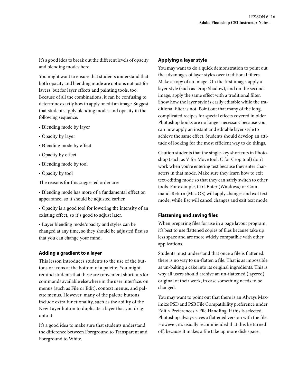It's a good idea to break out the different levels of opacity and blending modes here.

You might want to ensure that students understand that both opacity and blending mode are options not just for layers, but for layer effects and painting tools, too. Because of all the combinations, it can be confusing to determine exactly how to apply or edit an image. Suggest that students apply blending modes and opacity in the following sequence:

- **•** Blending mode by layer
- **•** Opacity by layer
- **•** Blending mode by effect
- **•** Opacity by effect
- **•** Blending mode by tool
- **•** Opacity by tool

The reasons for this suggested order are:

**•** Blending mode has more of a fundamental effect on appearance, so it should be adjusted earlier.

**•** Opacity is a good tool for lowering the intensity of an existing effect, so it's good to adjust later.

**•** Layer blending mode/opacity and styles can be changed at any time, so they should be adjusted first so that you can change your mind.

#### **Adding a gradient to a layer**

This lesson introduces students to the use of the buttons or icons at the bottom of a palette. You might remind students that these are convenient shortcuts for commands available elsewhere in the user interface: on menus (such as File or Edit), context menus, and palette menus. However, many of the palette buttons include extra functionality, such as the ability of the New Layer button to duplicate a layer that you drag onto it.

It's a good idea to make sure that students understand the difference between Foreground to Transparent and Foreground to White.

#### **Applying a layer style**

You may want to do a quick demonstration to point out the advantages of layer styles over traditional filters. Make a copy of an image. On the first image, apply a layer style (such as Drop Shadow), and on the second image, apply the same effect with a traditional filter. Show how the layer style is easily editable while the traditional filter is not. Point out that many of the long, complicated recipes for special effects covered in older Photoshop books are no longer necessary because you can now apply an instant and editable layer style to achieve the same effect. Students should develop an attitude of looking for the most efficient way to do things.

Caution students that the single-key shortcuts in Photoshop (such as V for Move tool, C for Crop tool) don't work when you're entering text because they enter characters in that mode. Make sure they learn how to exit text-editing mode so that they can safely switch to other tools. For example, Ctrl-Enter (Windows) or Command-Return (Mac OS) will apply changes and exit text mode, while Esc will cancel changes and exit text mode.

#### **Flattening and saving files**

When preparing files for use in a page layout program, it's best to use flattened copies of files because take up less space and are more widely compatible with other applications.

Students must understand that once a file is flattened, there is no way to un-flatten a file. That is as impossible as un-baking a cake into its original ingredients. This is why all users should archive an un-flattened (layered) original of their work, in case something needs to be changed.

You may want to point out that there is an Always Maximize PSD and PSB File Compatibility preference under Edit > Preferences > File Handling. If this is selected, Photoshop always saves a flattened version with the file. However, it's usually recommended that this be turned off, because it makes a file take up more disk space.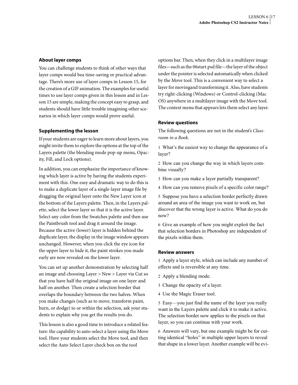#### **About layer comps**

You can challenge students to think of other ways that layer comps would bea time-saving or practical advantage. There's more use of layer comps in Lesson 15, for the creation of a GIF animation. The examples for useful times to use layer comps given in this lesson and in Lesson 15 are simple, making the concept easy to grasp, and students should have little trouble imagining other scenarios in which layer comps would prove useful.

#### **Supplementing the lesson**

If your students are eager to learn more about layers, you might invite them to explore the options at the top of the Layers palette (the blending mode pop-up menu, Opacity, Fill, and Lock options).

In addition, you can emphasize the importance of knowing which layer is active by having the students experiment with this. One easy and dramatic way to do this is to make a duplicate layer of a single-layer image file by dragging the original layer onto the New Layer icon at the bottom of the Layers palette. Then, in the Layers palette, select the lower layer so that it is the active layer. Select any color from the Swatches palette and then use the Paintbrush tool and drag it around the image. Because the active (lower) layer is hidden behind the duplicate layer, the display in the image window appears unchanged. However, when you click the eye icon for the upper layer to hide it, the paint strokes you made early are now revealed on the lower layer.

You can set up another demonstration by selecting half an image and choosing Layer > New > Layer via Cut so that you have half the original image on one layer and half on another. Then create a selection border that overlaps the boundary between the two halves. When you make changes (such as to move, transform paint, burn, or dodge) to or within the selection, ask your students to explain why you get the results you do.

This lesson is also a good time to introduce a related feature: the capability to auto-select a layer using the Move tool. Have your students select the Move tool, and then select the Auto Select Layer check box on the tool

options bar. Then, when they click in a multilayer image files—such as the 06start.psd file—the layer of the object under the pointer is selected automatically when clicked by the Move tool. This is a convenient way to select a layer for movingand transforming it. Also, have students try right-clicking (Windows) or Control-clicking (Mac OS) anywhere in a multilayer image with the Move tool. The context menu that appears lets them select any layer.

#### **Review questions**

The following questions are not in the student's *Classroom in a Book*.

1 What's the easiest way to change the appearance of a layer?

2 How can you change the way in which layers combine visually?

3 How can you make a layer partially transparent?

4 How can you remove pixels of a specific color range?

5 Suppose you have a selection border perfectly drawn around an area of the image you want to work on, but discover that the wrong layer is active. What do you do now?

6 Give an example of how you might exploit the fact that selection borders in Photoshop are independent of the pixels within them.

#### **Review answers**

1 Apply a layer style, which can include any number of effects and is reversible at any time.

- 2 Apply a blending mode.
- 3 Change the opacity of a layer.
- 4 Use the Magic Eraser tool.

5 Easy—you just find the name of the layer you really want in the Layers palette and click it to make it active. The selection border now applies to the pixels on that layer, so you can continue with your work.

6 Answers will vary, but one example might be for cutting identical "holes" in multiple upper layers to reveal that shape in a lower layer. Another example will be evi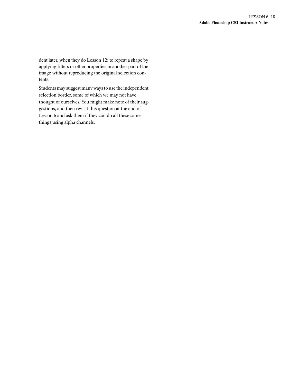dent later, when they do Lesson 12: to repeat a shape by applying filters or other properties in another part of the image without reproducing the original selection contents.

Students may suggest many ways to use the independent selection border, some of which we may not have thought of ourselves. You might make note of their suggestions, and then revisit this question at the end of Lesson 6 and ask them if they can do all these same things using alpha channels.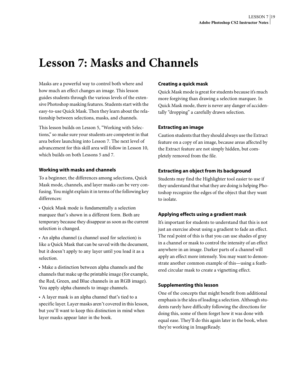# **Lesson 7: Masks and Channels**

Masks are a powerful way to control both where and how much an effect changes an image. This lesson guides students through the various levels of the extensive Photoshop masking features. Students start with the easy-to-use Quick Mask. Then they learn about the relationship between selections, masks, and channels.

This lesson builds on Lesson 5, "Working with Selections," so make sure your students are competent in that area before launching into Lesson 7. The next level of advancement for this skill area will follow in Lesson 10, which builds on both Lessons 5 and 7.

#### **Working with masks and channels**

To a beginner, the differences among selections, Quick Mask mode, channels, and layer masks can be very confusing. You might explain it in terms of the following key differences:

**•** Quick Mask mode is fundamentally a selection marquee that's shown in a different form. Both are temporary because they disappear as soon as the current selection is changed.

**•** An alpha channel (a channel used for selection) is like a Quick Mask that can be saved with the document, but it doesn't apply to any layer until you load it as a selection.

**•** Make a distinction between alpha channels and the channels that make up the printable image (for example, the Red, Green, and Blue channels in an RGB image). You apply alpha channels to image channels.

**•** A layer mask is an alpha channel that's tied to a specific layer. Layer masks aren't covered in this lesson, but you'll want to keep this distinction in mind when layer masks appear later in the book.

#### **Creating a quick mask**

Quick Mask mode is great for students because it's much more forgiving than drawing a selection marquee. In Quick Mask mode, there is never any danger of accidentally "dropping" a carefully drawn selection.

#### **Extracting an image**

Caution students that they should always use the Extract feature on a copy of an image, because areas affected by the Extract feature are not simply hidden, but completely removed from the file.

#### **Extracting an object from its background**

Students may find the Highlighter tool easier to use if they understand that what they are doing is helping Photoshop recognize the edges of the object that they want to isolate.

#### **Applying effects using a gradient mask**

It's important for students to understand that this is not just an exercise about using a gradient to fade an effect. The real point of this is that you can use shades of gray in a channel or mask to control the intensity of an effect anywhere in an image. Darker parts of a channel will apply an effect more intensely. You may want to demonstrate another common example of this—using a feathered circular mask to create a vignetting effect.

#### **Supplementing this lesson**

One of the concepts that might benefit from additional emphasis is the idea of loading a selection. Although students rarely have difficulty following the directions for doing this, some of them forget how it was done with equal ease. They'll do this again later in the book, when they're working in ImageReady.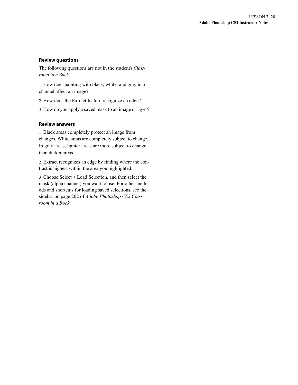#### **Review questions**

The following questions are not in the student's *Classroom in a Book*.

1 How does painting with black, white, and gray in a channel affect an image?

2 How does the Extract feature recognize an edge?

3 How do you apply a saved mask to an image or layer?

#### **Review answers**

1 Black areas completely protect an image from changes. White areas are completely subject to change. In gray areas, lighter areas are more subject to change than darker areas.

2 Extract recognizes an edge by finding where the contrast is highest within the area you highlighted.

3 Choose Select > Load Selection, and then select the mask (alpha channel) you want to use. For other methods and shortcuts for loading saved selections, see the sidebar on page 202 of *Adobe Photoshop CS2 Classroom in a Book*.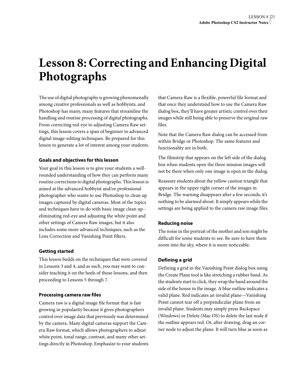# **Lesson 8: Correcting and Enhancing Digital Photographs**

The use of digital photography is growing phenomenally among creative professionals as well as hobbyists, and Photoshop has many, many features that streamline the handling and routine processing of digital photographs. From correcting red-eye to adjusting Camera Raw settings, this lesson covers a span of beginner to advanced digital image-editing techniques. Be prepared for this lesson to generate a lot of interest among your students.

#### **Goals and objectives for this lesson**

Your goal in this lesson is to give your students a wellrounded understanding of how they can perform many routine corrections to digital photographs. This lesson is aimed at the advanced hobbyist and/or professional photographer who wants to use Photoshop to clean up images captured by digital cameras. Most of the topics and techniques have to do with basic image clean up- eliminating red-eye and adjusting the white point and other settings of Camera Raw images, but it also includes some more advanced techniques, such as the Lens Correction and Vanishing Point filters.

#### **Getting started**

This lesson builds on the techniques that were covered in Lessons 3 and 4, and as such, you may want to consider teaching it on the heels of those lessons, and then proceeding to Lessons 5 through 7.

#### **Processing camera raw files**

Camera raw is a digital image file format that is fast growing in popularity because it gives photographers control over image data that previously was determined by the camera. Many digital cameras support the Camera Raw format, which allows photographers to adjust white point, tonal range, contrast, and many other settings directly in Photoshop. Emphasize to your students that Camera Raw is a flexible, powerful file format and that once they understand how to use the Camera Raw dialog box, they'll have greater artistic control over their images while still being able to preserve the original raw files.

Note that the Camera Raw dialog can be accessed from within Bridge or Photoshop. The same features and functionality are in both.

The filmstrip that appears on the left side of the dialog box when students open the three mission images will not be there when only one image is open in the dialog.

Reassure students about the yellow caution triangle that appears in the upper right corner of the images in Bridge. The warning disappears after a few seconds; it's nothing to be alarmed about. It simply appears while the settings are being applied to the camera raw image files.

#### **Reducing noise**

The noise in the portrait of the mother and son might be difficult for some students to see. Be sure to have them zoom into the sky, where it is more noticeable.

#### **Defining a grid**

Defining a grid in the Vanishing Point dialog box using the Create Plane tool is like stretching a rubber band. As the students start to click, they wrap the band around the side of the house in the image. A blue outline indicates a valid plane. Red indicates an invalid plane—Vanishing Point cannot tear off a perpendicular plane from an invalid plane. Students may simply press Backspace (Windows) or Delete (Mac OS) to delete the last node if the outline appears red. Or, after drawing, drag an corner node to adjust the plane. It will turn blue as soon as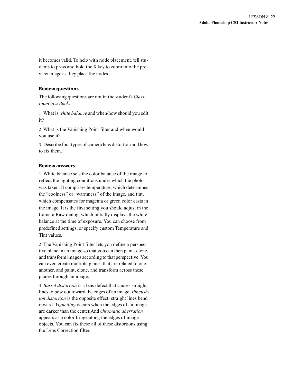it becomes valid. To help with node placement, tell students to press and hold the X key to zoom into the preview image as they place the nodes.

#### **Review questions**

The following questions are not in the student's *Classroom in a Book*.

1 What is *white balance* and when/how should you edit it?

2 What is the Vanishing Point filter and when would you use it?

3 Describe four types of camera lens distortion and how to fix them.

#### **Review answers**

1 White balance sets the color balance of the image to reflect the lighting conditions under which the photo was taken. It comprises temperature, which determines the "coolness" or "warmness" of the image, and tint, which compensates for magenta or green color casts in the image. It is the first setting you should adjust in the Camera Raw dialog, which initially displays the white balance at the time of exposure. You can choose from predefined settings, or specify custom Temperature and Tint values.

2 The Vanishing Point filter lets you define a perspective plane in an image so that you can then paint, clone, and transform images according to that perspective. You can even create multiple planes that are related to one another, and paint, clone, and transform across these planes through an image.

3 *Barrel distortion* is a lens defect that causes straight lines to bow out toward the edges of an image. *Pincushion distortion* is the opposite effect: straight lines bend inward. *Vignetting* occurs when the edges of an image are darker than the center.And *chromatic aberration* appears as a color fringe along the edges of image objects. You can fix these all of these distortions using the Lens Correction filter.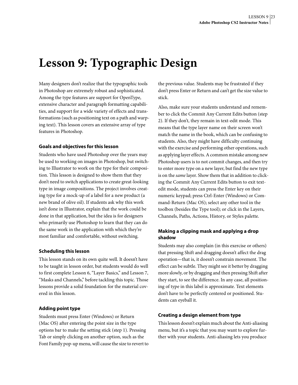# **Lesson 9: Typographic Design**

Many designers don't realize that the typographic tools in Photoshop are extremely robust and sophisticated. Among the type features are support for OpenType, extensive character and paragraph formatting capabilities, and support for a wide variety of effects and transformations (such as positioning text on a path and warping text). This lesson covers an extensive array of type features in Photoshop.

#### **Goals and objectives for this lesson**

Students who have used Photoshop over the years may be used to working on images in Photoshop, but switching to Illustrator to work on the type for their composition. This lesson is designed to show them that they don't need to switch applications to create great-looking type in image compositions. The project involves creating type for a mock-up of a label for a new product (a new brand of olive oil). If students ask why this work isn't done in Illustrator, explain that the work could be done in that application, but the idea is for designers who primarily use Photoshop to learn that they can do the same work in the application with which they're most familiar and comfortable, without switching.

#### **Scheduling this lesson**

This lesson stands on its own quite well. It doesn't have to be taught in lesson order, but students would do well to first complete Lesson 6, "Layer Basics," and Lesson 7, "Masks and Channels," before tackling this topic. Those lessons provide a solid foundation for the material covered in this lesson.

#### **Adding point type**

Students must press Enter (Windows) or Return (Mac OS) after entering the point size in the type options bar to make the setting stick (step 1). Pressing Tab or simply clicking on another option, such as the Font Family pop-up menu, will cause the size to revert to the previous value. Students may be frustrated if they don't press Enter or Return and can't get the size value to stick.

Also, make sure your students understand and remember to click the Commit Any Current Edits button (step 2). If they don't, they remain in text-edit mode. This means that the type layer name on their screen won't match the name in the book, which can be confusing to students. Also, they might have difficulty continuing with the exercise and performing other operations, such as applying layer effects. A common mistake among new Photoshop users is to not commit changes, and then try to enter more type on a new layer, but find the new type is on the *same* layer. Show them that in addition to clicking the Commit Any Current Edits button to exit textedit mode, students can press the Enter key on their numeric keypad; press Ctrl-Enter (Windows) or Command-Return (Mac OS); select any other tool in the toolbox (besides the Type tool); or click in the Layers, Channels, Paths, Actions, History, or Styles palette.

#### **Making a clipping mask and applying a drop shadow**

Students may also complain (in this exercise or others) that pressing Shift and dragging doesn't affect the drag operation—that is, it doesn't constrain movement. The effect can be subtle. They might see it better by dragging more slowly, or by dragging and then pressing Shift after they start, to see the difference. In any case, all positioning of type in this label is approximate. Text elements don't have to be perfectly centered or positioned. Students can eyeball it.

#### **Creating a design element from type**

This lesson doesn't explain much about the Anti-aliasing menu, but it's a topic that you may want to explore further with your students. Anti-aliasing lets you produce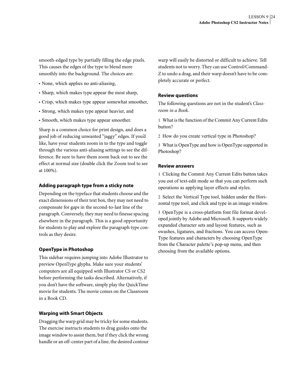smooth-edged type by partially filling the edge pixels. This causes the edges of the type to blend more smoothly into the background. The choices are:

- **•** None, which applies no anti-aliasing,
- **•** Sharp, which makes type appear the most sharp,
- **•** Crisp, which makes type appear somewhat smoother,
- **•** Strong, which makes type appear heavier, and
- **•** Smooth, which makes type appear smoother.

Sharp is a common choice for print design, and does a good job of reducing unwanted "jaggy" edges. If you'd like, have your students zoom in to the type and toggle through the various anti-aliasing settings to see the difference. Be sure to have them zoom back out to see the effect at normal size (double click the Zoom tool to see at 100%).

#### **Adding paragraph type from a sticky note**

Depending on the typeface that students choose and the exact dimensions of their text box, they may not need to compensate for gaps in the second-to-last line of the paragraph. Conversely, they may need to finesse spacing elsewhere in the paragraph. This is a good opportunity for students to play and explore the paragraph type controls as they desire.

#### **OpenType in Photoshop**

This sidebar requires jumping into Adobe Illustrator to preview OpenType glyphs. Make sure your students' computers are all equipped with Illustrator CS or CS2 before performing the tasks described. Alternatively, if you don't have the software, simply play the QuickTime movie for students. The movie comes on the Classroom in a Book CD.

#### **Warping with Smart Objects**

Dragging the warp grid may be tricky for some students. The exercise instructs students to drag guides onto the image window to assist them, but if they click the wrong handle or an off-center part of a line, the desired contour warp will easily be distorted or difficult to achieve. Tell students not to worry. They can use Control/Command-Z to undo a drag, and their warp doesn't have to be completely accurate or perfect.

#### **Review questions**

The following questions are not in the student's *Classroom in a Book*.

1 What is the function of the Commit Any Current Edits button?

2 How do you create vertical type in Photoshop?

3 What is OpenType and how is OpenType supported in Photoshop?

#### **Review answers**

1 Clicking the Commit Any Current Edits button takes you out of text-edit mode so that you can perform such operations as applying layer effects and styles.

2 Select the Vertical Type tool, hidden under the Horizontal type tool, and click and type in an image window.

3 OpenType is a cross-platform font file format developed jointly by Adobe and Microsoft. It supports widely expanded character sets and layout features, such as swashes, ligatures, and fractions. You can access Open-Type features and characters by choosing OpenType from the Character palette's pop-up menu, and then choosing from the available options.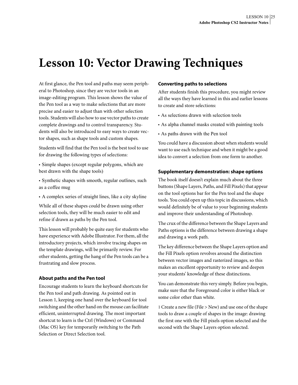# **Lesson 10: Vector Drawing Techniques**

At first glance, the Pen tool and paths may seem peripheral to Photoshop, since they are vector tools in an image-editing program. This lesson shows the value of the Pen tool as a way to make selections that are more precise and easier to adjust than with other selection tools. Students will also how to use vector paths to create complete drawings and to control transparency. Students will also be introduced to easy ways to create vector shapes, such as shape tools and custom shapes.

Students will find that the Pen tool is the best tool to use for drawing the following types of selections:

**•** Simple shapes (except regular polygons, which are best drawn with the shape tools)

**•** Synthetic shapes with smooth, regular outlines, such as a coffee mug

**•** A complex series of straight lines, like a city skyline

While all of these shapes could be drawn using other selection tools, they will be much easier to edit and refine if drawn as paths by the Pen tool.

This lesson will probably be quite easy for students who have experience with Adobe Illustrator. For them, all the introductory projects, which involve tracing shapes on the template drawings, will be primarily review. For other students, getting the hang of the Pen tools can be a frustrating and slow process.

#### **About paths and the Pen tool**

Encourage students to learn the keyboard shortcuts for the Pen tool and path drawing. As pointed out in Lesson 1, keeping one hand over the keyboard for tool switching and the other hand on the mouse can facilitate efficient, uninterrupted drawing. The most important shortcut to learn is the Ctrl (Windows) or Command (Mac OS) key for temporarily switching to the Path Selection or Direct Selection tool.

#### **Converting paths to selections**

After students finish this procedure, you might review all the ways they have learned in this and earlier lessons to create and store selections:

- **•** As selections drawn with selection tools
- **•** As alpha channel masks created with painting tools
- **•** As paths drawn with the Pen tool

You could have a discussion about when students would want to use each technique and when it might be a good idea to convert a selection from one form to another.

#### **Supplementary demonstration: shape options**

The book itself doesn't explain much about the three buttons (Shape Layers, Paths, and Fill Pixels) that appear on the tool options bar for the Pen tool and the shape tools. You could open up this topic in discussions, which would definitely be of value to your beginning students and improve their understanding of Photoshop.

The crux of the difference between the Shape Layers and Paths options is the difference between drawing a shape and drawing a work path.

The key difference between the Shape Layers option and the Fill Pixels option revolves around the distinction between vector images and rasterized images, so this makes an excellent opportunity to review and deepen your students' knowledge of these distinctions.

You can demonstrate this very simply. Before you begin, make sure that the Foreground color is either black or some color other than white.

1 Create a new file (File > New) and use one of the shape tools to draw a couple of shapes in the image: drawing the first one with the Fill pixels option selected and the second with the Shape Layers option selected.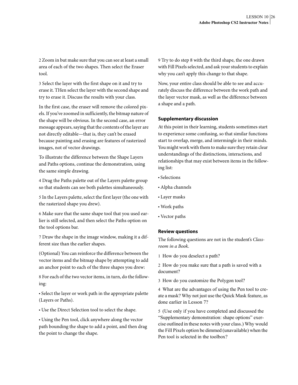2 Zoom in but make sure that you can see at least a small area of each of the two shapes. Then select the Eraser tool.

3 Select the layer with the first shape on it and try to erase it. THen select the layer with the second shape and try to erase it. Discuss the results with your class.

In the first case, the eraser will remove the colored pixels. If you've zoomed in sufficiently, the bitmap nature of the shape will be obvious. In the second case, an error message appears, saying that the contents of the layer are not directly editable—that is, they can't be erased because painting and erasing are features of rasterized images, not of vector drawings.

To illustrate the difference between the Shape Layers and Paths options, continue the demonstration, using the same simple drawing.

4 Drag the Paths palette out of the Layers palette group so that students can see both palettes simultaneously.

5 In the Layers palette, select the first layer (the one with the rasterized shape you drew).

6 Make sure that the same shape tool that you used earlier is still selected, and then select the Paths option on the tool options bar.

7 Draw the shape in the image window, making it a different size than the earlier shapes.

(Optional) You can reinforce the difference between the vector items and the bitmap shape by attempting to add an anchor point to each of the three shapes you drew:

8 For each of the two vector items, in turn, do the following:

**•** Select the layer or work path in the appropriate palette (Layers or Paths).

**•** Use the Direct Selection tool to select the shape.

**•** Using the Pen tool, click anywhere along the vector path bounding the shape to add a point, and then drag the point to change the shape.

9 Try to do step 8 with the third shape, the one drawn with Fill Pixels selected, and ask your students to explain why you can't apply this change to that shape.

Now, your entire class should be able to see and accurately discuss the difference between the work path and the layer vector mask, as well as the difference between a shape and a path.

#### **Supplementary discussion**

At this point in their learning, students sometimes start to experience some confusing, so that similar functions start to overlap, merge, and intermingle in their minds. You might work with them to make sure they retain clear understandings of the distinctions, interactions, and relationships that may exist between items in the following list:

- Selections
- **•** Alpha channels
- **•** Layer masks
- **•** Work paths
- **•** Vector paths

#### **Review questions**

The following questions are not in the student's *Classroom in a Book*.

1 How do you deselect a path?

2 How do you make sure that a path is saved with a document?

3 How do you customize the Polygon tool?

4 What are the advantages of using the Pen tool to create a mask? Why not just use the Quick Mask feature, as done earlier in Lesson 7?

5 (Use only if you have completed and discussed the "Supplementary demonstration: shape options" exercise outlined in these notes with your class.) Why would the Fill Pixels option be dimmed (unavailable) when the Pen tool is selected in the toolbox?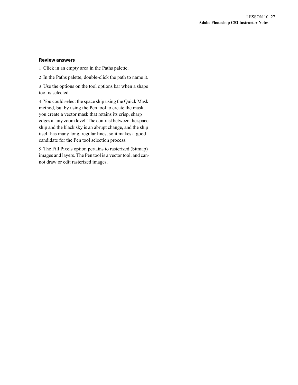#### **Review answers**

1 Click in an empty area in the Paths palette.

2 In the Paths palette, double-click the path to name it.

3 Use the options on the tool options bar when a shape tool is selected.

4 You could select the space ship using the Quick Mask method, but by using the Pen tool to create the mask, you create a vector mask that retains its crisp, sharp edges at any zoom level. The contrast between the space ship and the black sky is an abrupt change, and the ship itself has many long, regular lines, so it makes a good candidate for the Pen tool selection process.

5 The Fill Pixels option pertains to rasterized (bitmap) images and layers. The Pen tool is a vector tool, and cannot draw or edit rasterized images.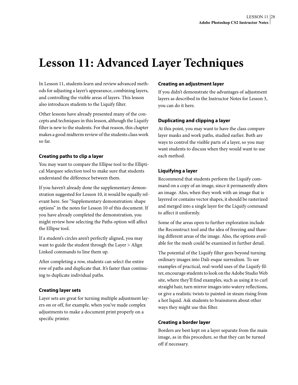# **Lesson 11: Advanced Layer Techniques**

In Lesson 11, students learn and review advanced methods for adjusting a layer's appearance, combining layers, and controlling the visible areas of layers. This lesson also introduces students to the Liquify filter.

Other lessons have already presented many of the concepts and techniques in this lesson, although the Liquify filter is new to the students. For that reason, this chapter makes a good midterm review of the students class work so far.

#### **Creating paths to clip a layer**

You may want to compare the Ellipse tool to the Elliptical Marquee selection tool to make sure that students understand the difference between them.

If you haven't already done the supplementary demonstration suggested for Lesson 10, it would be equally relevant here. See "Supplementary demonstration: shape options" in the notes for Lesson 10 of this document. If you have already completed the demonstration, you might review how selecting the Paths option will affect the Ellipse tool.

If a student's circles aren't perfectly aligned, you may want to guide the student through the Layer > Align Linked commands to line them up.

After completing a row, students can select the entire row of paths and duplicate that. It's faster than continuing to duplicate individual paths.

#### **Creating layer sets**

Layer sets are great for turning multiple adjustment layers on or off, for example, when you've made complex adjustments to make a document print properly on a specific printer.

#### **Creating an adjustment layer**

If you didn't demonstrate the advantages of adjustment layers as described in the Instructor Notes for Lesson 3, you can do it here.

#### **Duplicating and clipping a layer**

At this point, you may want to have the class compare layer masks and work paths, studied earlier. Both are ways to control the visible parts of a layer, so you may want students to discuss when they would want to use each method.

#### **Liquifying a layer**

Recommend that students perform the Liquify command on a copy of an image, since it permanently alters an image. Also, when they work with an image that is layered or contains vector shapes, it should be rasterized and merged into a single layer for the Liquify command to affect it uniformly.

Some of the areas open to further exploration include the Reconstruct tool and the idea of freezing and thawing different areas of the image. Also, the options available for the mesh could be examined in further detail.

The potential of the Liquify filter goes beyond turning ordinary images into Dali-esque surrealism. To see examples of practical, real-world uses of the Liquify filter, encourage students to look on the Adobe Studio Web site, where they'll find examples, such as using it to curl straight hair, turn mirror images into watery reflections, or give a realistic twists to painted-in steam rising from a hot liquid. Ask students to brainstorm about other ways they might use this filter.

#### **Creating a border layer**

Borders are best kept on a layer separate from the main image, as in this procedure, so that they can be turned off if necessary.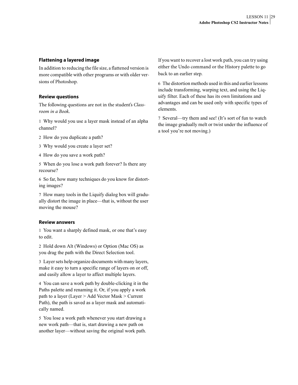#### **Flattening a layered image**

In addition to reducing the file size, a flattened version is more compatible with other programs or with older versions of Photoshop.

#### **Review questions**

The following questions are not in the student's *Classroom in a Book*.

1 Why would you use a layer mask instead of an alpha channel?

- 2 How do you duplicate a path?
- 3 Why would you create a layer set?
- 4 How do you save a work path?

5 When do you lose a work path forever? Is there any recourse?

6 So far, how many techniques do you know for distorting images?

7 How many tools in the Liquify dialog box will gradually distort the image in place—that is, without the user moving the mouse?

#### **Review answers**

1 You want a sharply defined mask, or one that's easy to edit.

2 Hold down Alt (Windows) or Option (Mac OS) as you drag the path with the Direct Selection tool.

3 Layer sets help organize documents with many layers, make it easy to turn a specific range of layers on or off, and easily allow a layer to affect multiple layers.

4 You can save a work path by double-clicking it in the Paths palette and renaming it. Or, if you apply a work path to a layer (Layer > Add Vector Mask > Current Path), the path is saved as a layer mask and automatically named.

5 You lose a work path whenever you start drawing a new work path—that is, start drawing a new path on another layer—without saving the original work path. If you want to recover a lost work path, you can try using either the Undo command or the History palette to go back to an earlier step.

6 The distortion methods used in this and earlier lessons include transforming, warping text, and using the Liquify filter. Each of these has its own limitations and advantages and can be used only with specific types of elements.

7 Several—try them and see! (It's sort of fun to watch the image gradually melt or twist under the influence of a tool you're not moving.)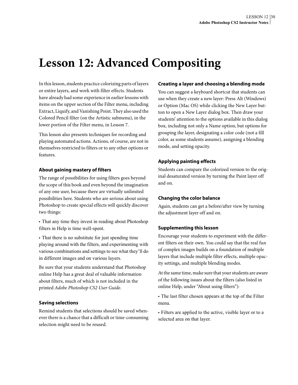# **Lesson 12: Advanced Compositing**

In this lesson, students practice colorizing parts of layers or entire layers, and work with filter effects. Students have already had some experience in earlier lessons with items on the upper section of the Filter menu, including Extract, Liquify, and Vanishing Point. They also used the Colored Pencil filter (on the Artistic submenu), in the lower portion of the Filter menu, in Lesson 7.

This lesson also presents techniques for recording and playing automated actions. Actions, of course, are not in themselves restricted to filters or to any other options or features.

#### **About gaining mastery of filters**

The range of possibilities for using filters goes beyond the scope of this book and even beyond the imagination of any one user, because there are virtually unlimited possibilities here. Students who are serious about using Photoshop to create special effects will quickly discover two things:

**•** That any time they invest in reading about Photoshop filters in Help is time well-spent.

**•** That there is no substitute for just spending time playing around with the filters, and experimenting with various combinations and settings to see what they'll do in different images and on various layers.

Be sure that your students understand that Photoshop online Help has a great deal of valuable information about filters, much of which is not included in the printed *Adobe Photoshop CS2 User Guide*.

#### **Saving selections**

Remind students that selections should be saved whenever there is a chance that a difficult or time-consuming selection might need to be reused.

#### **Creating a layer and choosing a blending mode**

You can suggest a keyboard shortcut that students can use when they create a new layer: Press Alt (Windows) or Option (Mac OS) while clicking the New Layer button to open a New Layer dialog box. Then draw your students' attention to the options available in this dialog box, including not only a Name option, but options for grouping the layer, designating a color code (not a fill color, as some students assume), assigning a blending mode, and setting opacity.

#### **Applying painting effects**

Students can compare the colorized version to the original desaturated version by turning the Paint layer off and on.

#### **Changing the color balance**

Again, students can get a before/after view by turning the adjustment layer off and on.

#### **Supplementing this lesson**

Encourage your students to experiment with the different filters on their own. You could say that the real fun of complex images builds on a foundation of multiple layers that include multiple filter effects, multiple opacity settings, and multiple blending modes.

At the same time, make sure that your students are aware of the following issues about the filters (also listed in online Help, under "About using filters"):

- **•** The last filter chosen appears at the top of the Filter menu.
- **•** Filters are applied to the active, visible layer or to a selected area on that layer.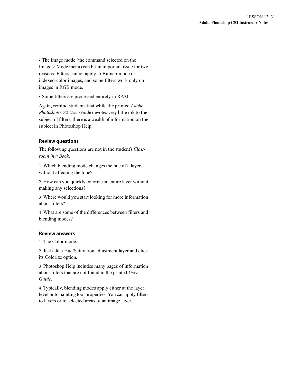**•** The image mode (the command selected on the Image > Mode menu) can be an important issue for two reasons: Filters cannot apply to Bitmap-mode or indexed-color images, and some filters work only on images in RGB mode.

**•** Some filters are processed entirely in RAM.

Again, remind students that while the printed *Adobe Photoshop CS2 User Guide* devotes very little ink to the subject of filters, there is a wealth of information on the subject in Photoshop Help.

#### **Review questions**

The following questions are not in the student's *Classroom in a Book*.

1 Which blending mode changes the hue of a layer without affecting the tone?

2 How can you quickly colorize an entire layer without making any selections?

3 Where would you start looking for more information about filters?

4 What are some of the differences between filters and blending modes?

#### **Review answers**

1 The Color mode.

2 Just add a Hue/Saturation adjustment layer and click its Colorize option.

3 Photoshop Help includes many pages of information about filters that are not found in the printed *User Guide*.

4 Typically, blending modes apply either at the layer level or to painting tool properties. You can apply filters to layers or to selected areas of an image layer.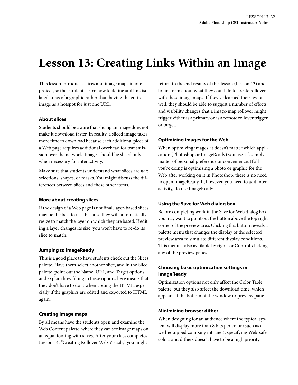# **Lesson 13: Creating Links Within an Image**

This lesson introduces slices and image maps in one project, so that students learn how to define and link isolated areas of a graphic rather than having the entire image as a hotspot for just one URL.

#### **About slices**

Students should be aware that slicing an image does not make it download faster. In reality, a sliced image takes more time to download because each additional piece of a Web page requires additional overhead for transmission over the network. Images should be sliced only when necessary for interactivity.

Make sure that students understand what slices are *not*: selections, shapes, or masks. You might discuss the differences between slices and these other items.

#### **More about creating slices**

If the design of a Web page is not final, layer-based slices may be the best to use, because they will automatically resize to match the layer on which they are based. If editing a layer changes its size, you won't have to re-do its slice to match.

#### **Jumping to ImageReady**

This is a good place to have students check out the Slices palette. Have them select another slice, and in the Slice palette, point out the Name, URL, and Target options, and explain how filling in these options here means that they don't have to do it when coding the HTML, especially if the graphics are edited and exported to HTML again.

#### **Creating image maps**

By all means have the students open and examine the Web Content palette, where they can see image maps on an equal footing with slices. After your class completes Lesson 14, "Creating Rollover Web Visuals," you might

return to the end results of this lesson (Lesson 13) and brainstorm about what they could do to create rollovers with these image maps. If they've learned their lessons well, they should be able to suggest a number of effects and visibility changes that a image-map rollover might trigger, either as a primary or as a remote rollover trigger or target.

#### **Optimizing images for the Web**

When optimizing images, it doesn't matter which application (Photoshop or ImageReady) you use. It's simply a matter of personal preference or convenience. If all you're doing is optimizing a photo or graphic for the Web after working on it in Photoshop, there is no need to open ImageReady. If, however, you need to add interactivity, do use ImageReady.

#### **Using the Save for Web dialog box**

Before completing work in the Save for Web dialog box, you may want to point out the button above the top right corner of the preview area. Clicking this button reveals a palette menu that changes the display of the selected preview area to simulate different display conditions. This menu is also available by right- or Control-clicking any of the preview panes.

#### **Choosing basic optimization settings in ImageReady**

Optimization options not only affect the Color Table palette, but they also affect the download time, which appears at the bottom of the window or preview pane.

#### **Minimizing browser dither**

When designing for an audience where the typical system will display more than 8 bits per color (such as a well-equipped company intranet), specifying Web-safe colors and dithers doesn't have to be a high priority.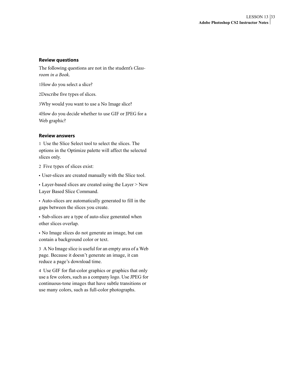#### **Review questions**

The following questions are not in the student's *Classroom in a Book*.

1How do you select a slice?

2Describe five types of slices.

3Why would you want to use a No Image slice?

4How do you decide whether to use GIF or JPEG for a Web graphic?

#### **Review answers**

1 Use the Slice Select tool to select the slices. The options in the Optimize palette will affect the selected slices only.

2 Five types of slices exist:

**•** User-slices are created manually with the Slice tool.

**•** Layer-based slices are created using the Layer > New Layer Based Slice Command.

**•** Auto-slices are automatically generated to fill in the gaps between the slices you create.

**•** Sub-slices are a type of auto-slice generated when other slices overlap.

**•** No Image slices do not generate an image, but can contain a background color or text.

3 A No Image slice is useful for an empty area of a Web page. Because it doesn't generate an image, it can reduce a page's download time.

4 Use GIF for flat-color graphics or graphics that only use a few colors, such as a company logo. Use JPEG for continuous-tone images that have subtle transitions or use many colors, such as full-color photographs.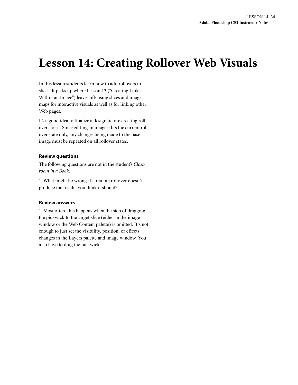# **Lesson 14: Creating Rollover Web Visuals**

In this lesson students learn how to add rollovers to slices. It picks up where Lesson 13 ("Creating Links Within an Image") leaves off: using slices and image maps for interactive visuals as well as for linking other Web pages.

It's a good idea to finalize a design before creating rollovers for it. Since editing an image edits the current rollover state only, any changes being made to the base image must be repeated on all rollover states.

#### **Review questions**

The following questions are not in the student's *Classroom in a Book*.

1 What might be wrong if a remote rollover doesn't produce the results you think it should?

#### **Review answers**

1 Most often, this happens when the step of dragging the pickwick to the target slice (either in the image window or the Web Content palette) is omitted. It's not enough to just set the visibility, position, or effects changes in the Layers palette and image window. You also have to drag the pickwick.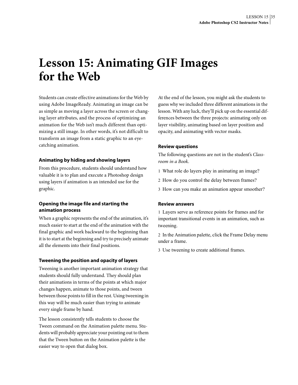# **Lesson 15: Animating GIF Images for the Web**

Students can create effective animations for the Web by using Adobe ImageReady. Animating an image can be as simple as moving a layer across the screen or changing layer attributes, and the process of optimizing an animation for the Web isn't much different than optimizing a still image. In other words, it's not difficult to transform an image from a static graphic to an eyecatching animation.

#### **Animating by hiding and showing layers**

From this procedure, students should understand how valuable it is to plan and execute a Photoshop design using layers if animation is an intended use for the graphic.

#### **Opening the image file and starting the animation process**

When a graphic represents the end of the animation, it's much easier to start at the end of the animation with the final graphic and work backward to the beginning than it is to start at the beginning and try to precisely animate all the elements into their final positions.

#### **Tweening the position and opacity of layers**

Tweening is another important animation strategy that students should fully understand. They should plan their animations in terms of the points at which major changes happen, animate to those points, and tween between those points to fill in the rest. Using tweening in this way will be much easier than trying to animate every single frame by hand.

The lesson consistently tells students to choose the Tween command on the Animation palette menu. Students will probably appreciate your pointing out to them that the Tween button on the Animation palette is the easier way to open that dialog box.

At the end of the lesson, you might ask the students to guess why we included three different animations in the lesson. With any luck, they'll pick up on the essential differences between the three projects: animating only on layer visibility, animating based on layer position and opacity, and animating with vector masks.

#### **Review questions**

The following questions are not in the student's *Classroom in a Book*.

- 1 What role do layers play in animating an image?
- 2 How do you control the delay between frames?
- 3 How can you make an animation appear smoother?

#### **Review answers**

1 Layers serve as reference points for frames and for important transitional events in an animation, such as tweening.

2 In the Animation palette, click the Frame Delay menu under a frame.

3 Use tweening to create additional frames.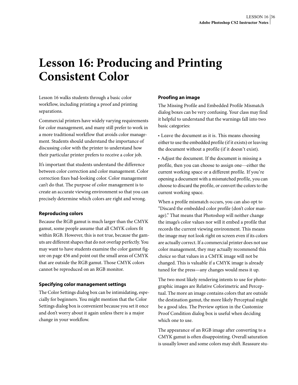# **Lesson 16: Producing and Printing Consistent Color**

Lesson 16 walks students through a basic color workflow, including printing a proof and printing separations.

Commercial printers have widely varying requirements for color management, and many still prefer to work in a more traditional workflow that avoids color management. Students should understand the importance of discussing color with the printer to understand how their particular printer prefers to receive a color job.

It's important that students understand the difference between color correction and color management. Color correction fixes bad-looking color. Color management can't do that. The purpose of color management is to create an accurate viewing environment so that you can precisely determine which colors are right and wrong.

#### **Reproducing colors**

Because the RGB gamut is much larger than the CMYK gamut, some people assume that all CMYK colors fit within RGB. However, this is not true, because the gamuts are different shapes that do not overlap perfectly. You may want to have students examine the color gamut figure on page 456 and point out the small areas of CMYK that are outside the RGB gamut. Those CMYK colors cannot be reproduced on an RGB monitor.

#### **Specifying color management settings**

The Color Settings dialog box can be intimidating, especially for beginners. You might mention that the Color Settings dialog box is convenient because you set it once and don't worry about it again unless there is a major change in your workflow.

#### **Proofing an image**

The Missing Profile and Embedded Profile Mismatch dialog boxes can be very confusing. Your class may find it helpful to understand that the warnings fall into two basic categories:

**•** Leave the document as it is. This means choosing either to use the embedded profile (if it exists) or leaving the document without a profile (if it doesn't exist).

**•** Adjust the document. If the document is missing a profile, then you can choose to assign one—either the current working space or a different profile. If you're opening a document with a mismatched profile, you can choose to discard the profile, or convert the colors to the current working space.

When a profile mismatch occurs, you can also opt to "Discard the embedded color profile (don't color manage)." That means that Photoshop will neither change the image's color values nor will it embed a profile that records the current viewing environment. This means the image may not look right on screen even if its colors are actually correct. If a commercial printer does not use color management, they may actually recommend this choice so that values in a CMYK image will not be changed. This is valuable if a CMYK image is already tuned for the press—any changes would mess it up.

The two most likely rendering intents to use for photographic images are Relative Colorimetric and Perceptual. The more an image contains colors that are outside the destination gamut, the more likely Perceptual might be a good idea. The Preview option in the Customize Proof Condition dialog box is useful when deciding which one to use.

The appearance of an RGB image after converting to a CMYK gamut is often disappointing. Overall saturation is usually lower and some colors may shift. Reassure stu